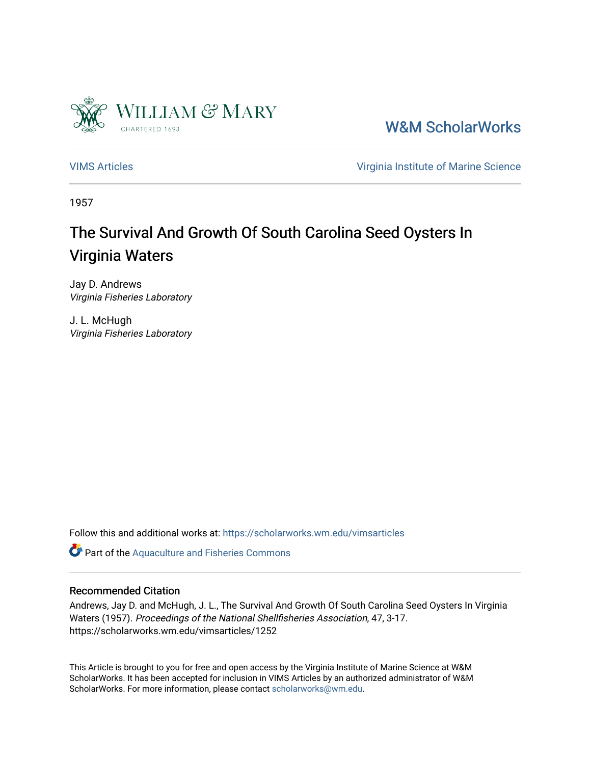

[W&M ScholarWorks](https://scholarworks.wm.edu/) 

[VIMS Articles](https://scholarworks.wm.edu/vimsarticles) [Virginia Institute of Marine Science](https://scholarworks.wm.edu/vims) 

1957

# The Survival And Growth Of South Carolina Seed Oysters In Virginia Waters

Jay D. Andrews Virginia Fisheries Laboratory

J. L. McHugh Virginia Fisheries Laboratory

Follow this and additional works at: [https://scholarworks.wm.edu/vimsarticles](https://scholarworks.wm.edu/vimsarticles?utm_source=scholarworks.wm.edu%2Fvimsarticles%2F1252&utm_medium=PDF&utm_campaign=PDFCoverPages)

Part of the [Aquaculture and Fisheries Commons](http://network.bepress.com/hgg/discipline/78?utm_source=scholarworks.wm.edu%2Fvimsarticles%2F1252&utm_medium=PDF&utm_campaign=PDFCoverPages)

## Recommended Citation

Andrews, Jay D. and McHugh, J. L., The Survival And Growth Of South Carolina Seed Oysters In Virginia Waters (1957). Proceedings of the National Shellfisheries Association, 47, 3-17. https://scholarworks.wm.edu/vimsarticles/1252

This Article is brought to you for free and open access by the Virginia Institute of Marine Science at W&M ScholarWorks. It has been accepted for inclusion in VIMS Articles by an authorized administrator of W&M ScholarWorks. For more information, please contact [scholarworks@wm.edu.](mailto:scholarworks@wm.edu)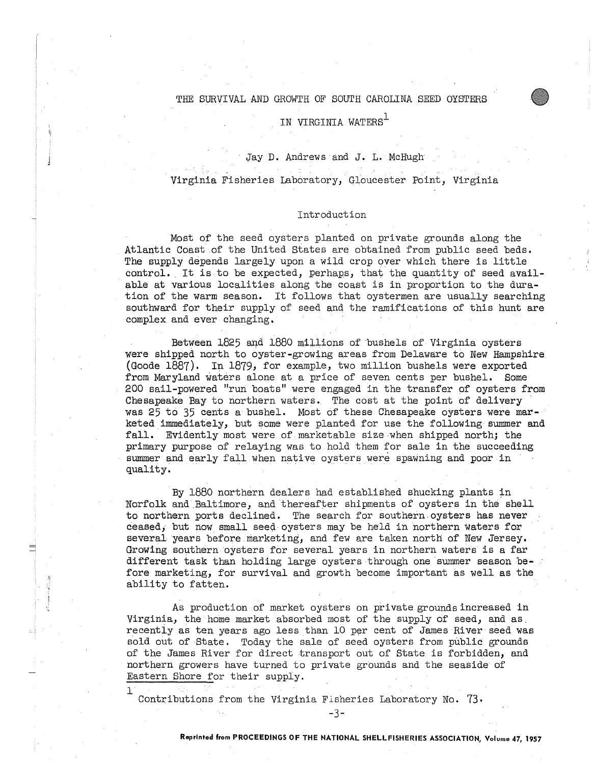#### THE SURVIVAL AND GROWTH OF SOUTH CAROLINA SEED OYSTERS

# IN VIRGINIA WATERS<sup>1</sup>

## Jay D. Andrews and J. L. McHugh

## Virginia Fisheries Laboratory, Gloucester Point, Virginia

#### Introduction

Most of the seed oysters planted on private grounds along the Atlantic Coast of the United States are obtained from public seed beds. The supply depends largely upon a wild crop over which there is little control. It is to be expected, perhaps, that the quantity of seed available at various localities along the coast is in proportion to the duration of the warm season. It follows that oystermen are usually searching southward for their supply of seed and the ramifications of this hunt are complex and ever changing.

Between 1825 and 1880 millions of bushels of Virginia oysters were shipped north to oyster-growing areas from Delaware to New Hampshire (Goode 1887), In 1879, for example, two million bushels were exported from Maryland waters alone at a price of seven cents per bushel. Some 200 sail-powered "run boats" were engaged in the transfer of oysters from Chesapeake Bay to northern waters.. The cost at the point of delivery was 25 to 35 cents a bushel. Most of these Chesapeake oysters were marketed immediately, but some were planted for use the following summer and fall, Evidently most were of marketable size.when shipped north; the primary purpose of relaying was to hold them for sale in the succeeding summer and early fall when native oysters were spawning and poor in quality.

By 1880 northern dealers had established shucking plants in Norfolk and Baltimore, and thereafter shipments of oysters in the shell to northern ports declined. The search for southern.oysters has never ceased, but now small seed oysters may be held in northern waters for several years before. marketing, and few are taken north of New Jersey. Growing southern oysters for several years in northern waters is a far different task than holding large oysters through one summer season before marketing, for survival and growth become important as well as the ability to fatten.

As production of market oysters on private grounds increased in Virginia, the home market absorbed most of the supply of seed, and as. recently as ten years ago less than 10 per cent of James River seed was sold out of State. Today the sale of seed oysters from public grounds of the James River for direct transport out of State is forbidden, and northern growers have turned to private grounds and the seaside of Eastern Shore for their supply.

Contributions from the Virginia Fisheries Laboratory No. 73,

 $\mathbf 1$ 

-3-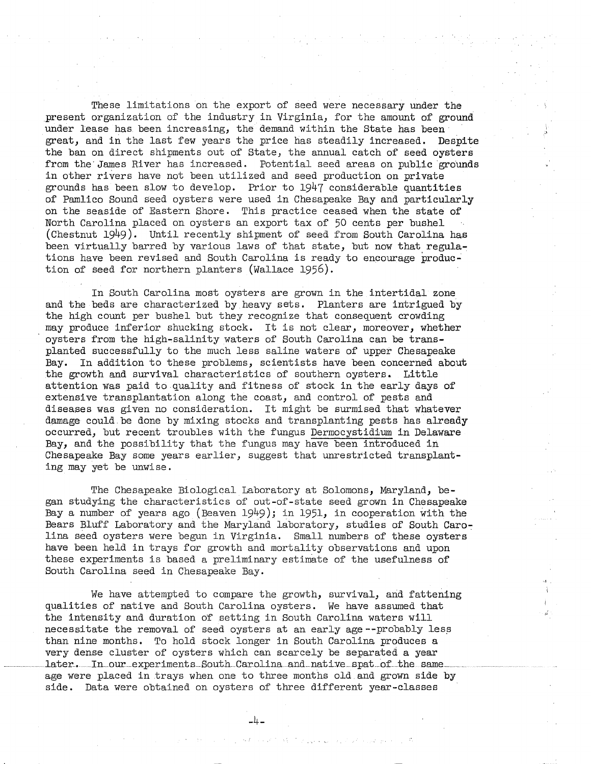These limitations on the export of seed were necessary under the present organization of the industry in Virginia, for the amount of ground under lease has been increasing, the demand within the State has been great, and in the last few years the price has steadily increased. Despite the ban on direct shipments out of State, the annual catch of seed oysters from the James River has increased. Potential seed areas on public grounds in other rivers have not been utilized and seed production on private grounds has been slow to develop. Prior to 1947 considerable quantities of Pamlico Sound seed oysters were used in Chesapeake Bay and particularly on the seaside of Eastern Shore. This practice ceased when the state of North Carolina placed on oysters an export tax of 50 cents per bushel (Chestnut 1949). Until recently shipment of seed from South Carolina has been virtually barred by various laws of that state, but now that regulations have been revised and South Carolina is ready to encourage production of seed for northern planters (Wallace 1956).

In South Carolina most oysters are grown in the intertidal zone and the beds are characterized by heavy sets. Planters are intrigued **by**  the high count per bushel but they recognize that consequent crowding may produce inferior shucking stock. It is not clear, moreover, whether oysters from the high-salinity waters of South Carolina can be transplanted successfully to the much less saline waters of upper Chesapeake Bay. In addition to these problems, scientists have been concerned about the growth and survival characteristics of southern oysters. Little attention was paid to quality and fitness of stock in the early days of extensive transplantation along the coast, and control of pests and diseases was given no consideration. It might be surmised that whatever damage could be done by mixing stocks and transplanting pests has already occurred, but recent troubles with the fungus Dermocystidium in Delaware Bay, and the possibility that the fungus may have been introduced in Chesapeake Bay some years earlier, suggest that unrestricted transplanting may yet be unwise.

The Chesapeake Biological Laboratory at Solomons, Maryland, began studying the characteristics of out-of-state seed grown in Chesapeake Bay a number of years ago (Beaven  $1949$ ); in  $1951$ , in cooperation with the Bears Bluff Laboratory and the Maryland laboratory, studies of South Caro~ lina seed oysters were begun in Virginia. Small numbers of these oysters have been held in trays for growth and mortality observations and upon these experiments is based a preliminary estimate of the usefulness of South Carolina seed in Chesapeake Bay.

We have attempted to compare the growth, survival, and fattening qualities of native and South Carolina oysters. We have assumed that the intensity and duration of setting in South Carolina waters will necessitate the removal of seed oysters at an early age--probably less than nine months. To hold stock longer in South Carolina produces a very dense cluster of oysters which can scarcely be separated a year later. In our experiments South Carolina and native spat of the same age were placed in trays when one to three months old and grown side by side. Data were obtained on oysters of three different year-classes

-4-

ねれ いいいたい はいたい しょうこうしょうけい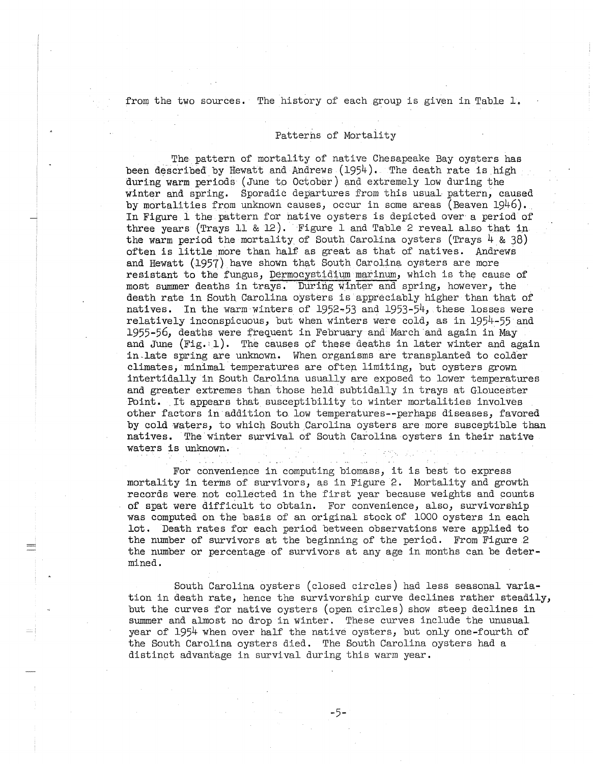from the two sources. The history of each group is given in Table 1.

#### Patterns of Mortality

The pattern of mortality of native Chesapeake Bay oysters has been described by Hewatt and Andrews (1954), The death rate is high during warm periods ( June to October) and extremely low during the winter and spring. Sporadic departures from this usual pattern, caused by mortalities from unknown causes, occur in some areas (Beaven 1946). In Figure 1 the pattern for native oysters is depicted over a period of three years (Trays 11 & 12). Figure 1 and Table 2 reveal also that in the warm period the mortality of South Carolina oysters (Trays  $4 \& 38$ ) often is little more than half as great as that of natives. Andrews and Hewatt (1957) have shown that South Carolina oysters are more resistant to the fungus, Dermocystidium marinum, which is the cause of most summer deaths in trays. During winter and spring, however, the death rate in South Carolina oysters is appreciably higher than that of natives. In the warm winters of 1952~53 and 1953-54, these losses were relatively inconspicuous, but when winters were cold, as in 1954-55 and 1955-56, deaths were frequent in February and March and again in May and June (Fig. 1). The causes of these deaths in later winter and again in-late spring are unknown. When organisms are transplanted to colder climates, minimal temperatures are often limiting, but oysters grown intertidally in South Carolina usually are exposed to lower temperatures and greater extremes than those held subtidally in trays at Gloucester Point. It appears that susceptibility to winter mortalities involves other factors in addition to. low temperatures--perhaps diseases, favored by cold waters, to which South Carolina oysters are more susceptible than natives. The winter survival of South Carolina oysters in their native waters is unknown.

For convenience in computing biomass, it is best to express mortality in terms of survivors, as in Figure 2. Mortality and growth records were not collected in the first year because weights and counts of spat were difficult to obtain. For convenience, also, survivorship was computed on the basis of an original stock of 1000 oysters in each lot. Death rates for each period between observations were applied to the number of survivors at the beginning of the period. From Figure 2 the number or percentage of survivors at any age in months can be determined.

South Carolina oysters (closed circles) had less seasonal variation in death rate, hence the survivorship curve declines rather steadily, but the curves for native oysters (open circles) show steep declines in summer and almost no drop in winter. These curves include the unusual year of 1954 when over half the native oysters, but only one-fourth of the South Carolina oysters died. The South Carolina oysters had a distinct advantage in survival during this warm year.

-5-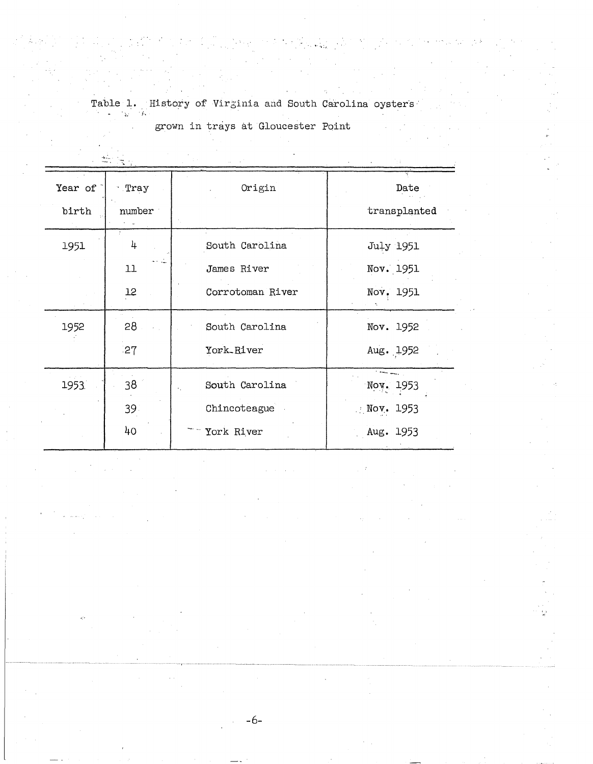Table 1. History of Virginia and South Carolina oysters

grown in trays at Gloucester Point

| Year of | · Tray          | Origin           | Date                         |  |
|---------|-----------------|------------------|------------------------------|--|
| birth   | number          |                  | transplanted                 |  |
| 1951    | 4               | South Carolina   | July 1951                    |  |
|         | 11              | James River      | Nov. 1951                    |  |
|         | 12              | Corrotoman River | Nov. 1951                    |  |
| 1952    | 28              | South Carolina   | Nov. 1952                    |  |
|         | 27              | York River       | Aug. 1952                    |  |
| 1953.   | 38              | South Carolina   | <b>Time and</b><br>Nov. 1953 |  |
|         | 39 <sup>2</sup> | Chincoteague     | $\mathbb{N}$ ov. 1953        |  |
|         | 40              | York River       | Aug. 1953                    |  |

-6-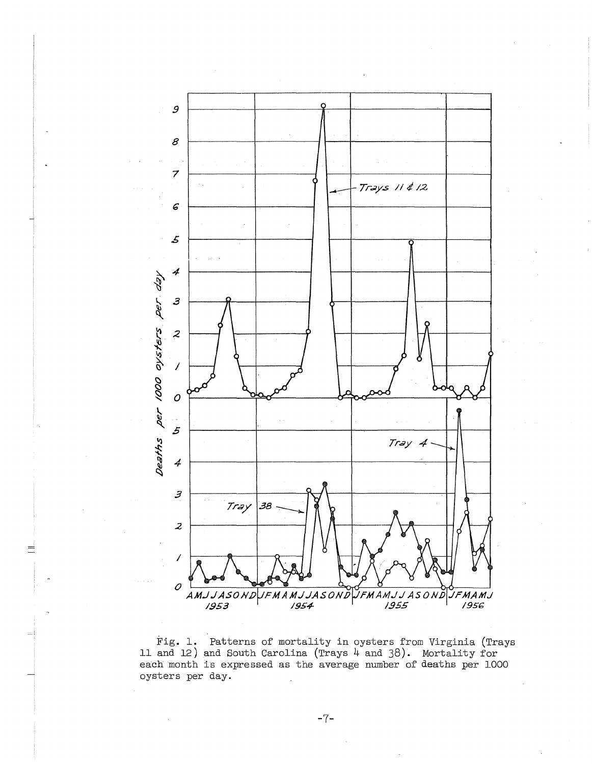

Fig. 1. Patterns of mortality in oysters from Virginia (Trays 11 and 12) and South Carolina (Trays  $4$  and 38). Mortality for<br>each month is expressed as the average number of deaths per 1000 oysters per day.

 $-7-$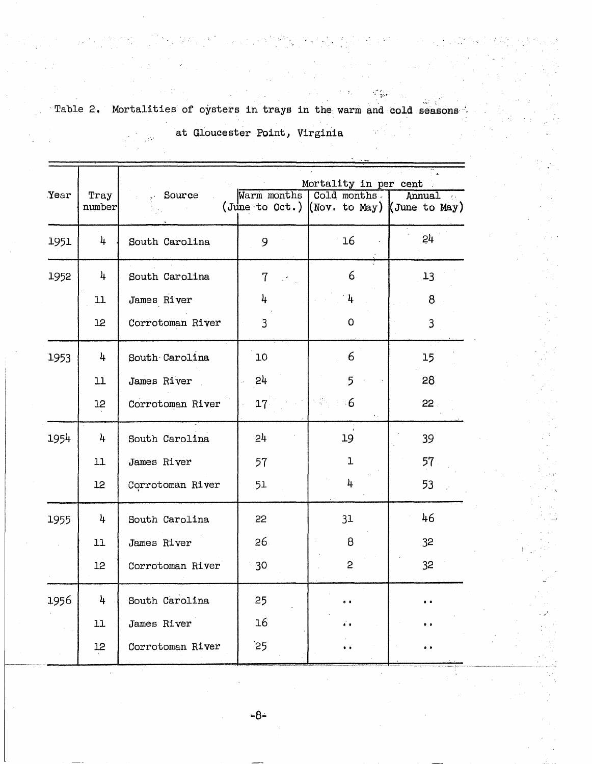| Table 2. | Mortalities of oysters in trays in the warm and cold seasons |                               |  |  |
|----------|--------------------------------------------------------------|-------------------------------|--|--|
|          |                                                              |                               |  |  |
|          |                                                              | at Gloucester Point, Virginia |  |  |

|                | Mortality in per cent |                 |              |                                                                         |
|----------------|-----------------------|-----------------|--------------|-------------------------------------------------------------------------|
| Tray<br>number | Source                |                 |              | Annual<br>$\mathcal{S}_{\text{out}}$                                    |
| 4              | South Carolina        | 9               | 16           | 24                                                                      |
| 4              | South Carolina        | $\overline{7}$  | $6 \cdot$    | 13                                                                      |
| 11             | James River           | 4               | 4            | 8                                                                       |
| 12             | Corrotoman River      | 3               | 0            | $\overline{\mathbf{3}}$                                                 |
| 4              | South Carolina        | 10              | 6            | 15                                                                      |
| 11             | James River           | 24              | 5            | 28                                                                      |
| 12             | Corrotoman River      | 17 <sup>2</sup> | $\cdot 6$    | 22.                                                                     |
| 4              | South Carolina        | 24              | 19           | 39                                                                      |
| 11             | James River           | 57              | $\mathbf{1}$ | 57                                                                      |
| 12             | Corrotoman River      | 51              | 4            | 53                                                                      |
| 4              | South Carolina        | 22              | 31           | 46                                                                      |
| 11             | James River           | 26              | 8            | 32                                                                      |
| 12             | Corrotoman River      | 30              | $\mathbf{2}$ | 32                                                                      |
| 4              | South Carolina        | 25              | . .          |                                                                         |
| 11             | James River           | 16              |              |                                                                         |
| 12             | Corrotoman River      | $25$            |              |                                                                         |
|                |                       |                 |              | Warm months   Cold months<br>(June to Oct.) (Nov. to May) (June to May) |

 $-8-$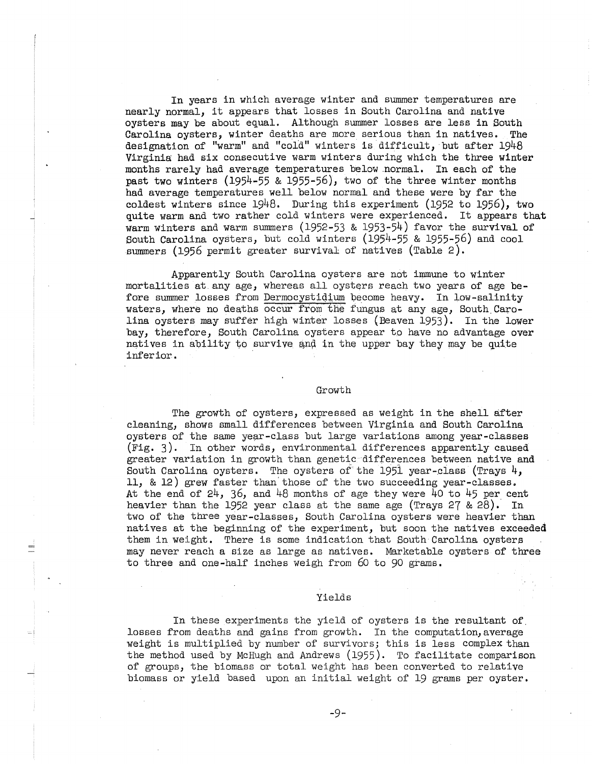In years in which average winter and summer temperatures are nearly normal, it appears that losses in South Carolina and native oysters may be about equal. Although summer losses are less in South Carolina oysters, winter deaths are more serious than in natives. The designation of "warm" and "cold" winters is difficult, but after 1948 Virginia had six consecutive warm winters during which the three winter months rarely had average temperatures below .normal. In each of the past two winters (1954-55 & 1955-56), two of the three winter months had average temperatures well below normal and these were by far the coldest winters since 1948. During this experiment (1952 to 1956), two quite warm and two rather cold winters were experienced. It appears that warm winters and warm summers (1952-53 & 1953-54) favor the survival of South Carolina oysters, but cold winters (1954-55 & 1955-56) and cool summers (1956 permit greater survival of natives (Table 2).

Apparently South Carolina oysters are not immune to winter mortalities at any age, whereas all oysters reach two years of age before summer losses from Dermocystidium become heavy. In low-salinity waters, where no deaths occur from the fungus at any age, South Carolina oysters may suffer high winter losses (Beaven 1953). In the lower bay, therefore, South Carolina oysters appear to have no advantage over natives in ability to survive and in the upper bay they may be quite inferior.

#### Growth

The growth of oysters, expressed as weight in the shell after cleaning, shows small differences between Virginia and South Carolina oysters of the same year-class but large variations among year-classes (Fig. 3). In other words, environmental differences apparently caused greater variation in growth than genetic differences between native and South Carolina oysters. The oysters of the 1951 year-class (Trays 4, 11, & 12) grew faster than'those of the two succeeding year-classes. At the end of  $24$ ,  $36$ , and  $48$  months of age they were  $40$  to  $45$  per cent heavier than the 1952 year class at the same age (Trays 27 &  $2\overline{8}$ ). In two of the three year-classes, South Carolina oysters were heavier than natives at the beginning of the experiment, but soon the natives exceeded them in weight, There is some indication that South Carolina oysters may never reach a size as large as natives. Marketable oysters of three to three and one-half inches weigh from 60 to 90 grams.

#### Yields

In these experiments the yield of oysters is the resultant of. losses from deaths and gains from growth. In the computation, average weight is multiplied by number of survivors; this is less complex than the method used by McHugh and Andrews (1955). To facilitate comparison of groups, the biomass or total weight has been converted to relative biomass or yield based upon an initial weight of 19 grams per oyster.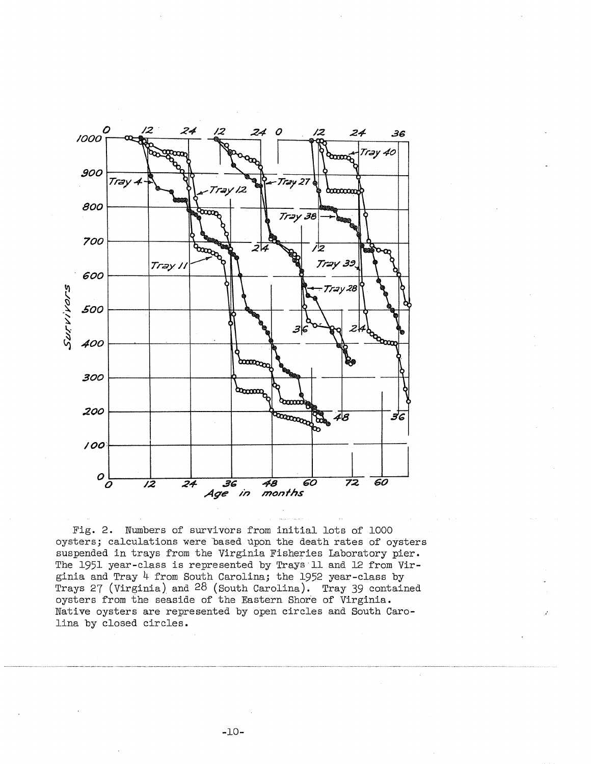

Fig. 2. Numbers of survivors from initial lots of 1000 oysters; calculations were based upon the death rates of oysters suspended in trays from the Virginia Fisheries Laboratory pier. The 1951 year-class is represented by Trays 11 and 12 from Virginia and Tray  $4$  from South Carolina; the 1952 year-class by Trays 27 (Virginia) and  $28$  (South Carolina). Tray 39 contained oysters from the seaside of the Eastern Shore of Virginia. Native oysters are represented by open circles and South Carolina by closed circles.

-10-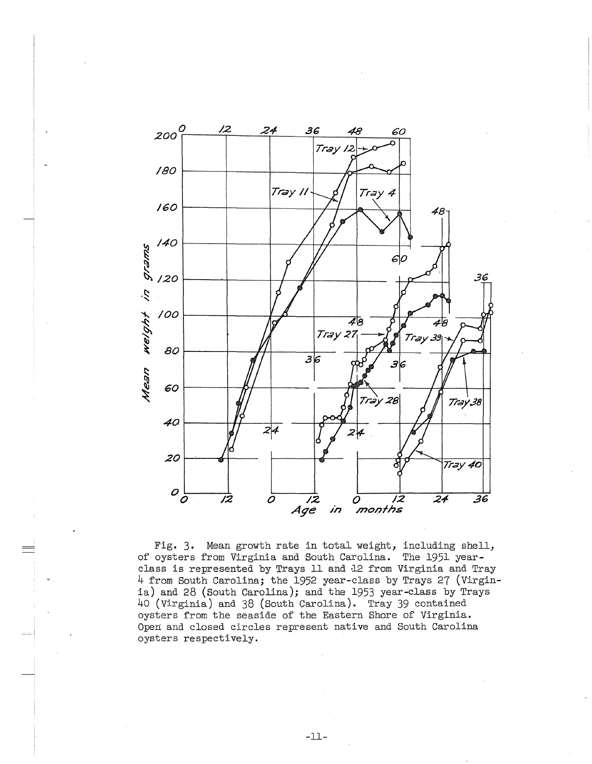

Fig. 3. Mean growth rate in total weight, including shell, of oysters from Virginia and South.Carolina. The 1951 yearclass is represented by Trays 11 and 12 from Virginia and Tray 4 from South Carolina; the 1952 year-class by Trays 27 (Virginia) and 28 (South Carolina); and the 1953 year-class by Trays 40 (Virginia) and 38 (South Carolina). Tray 39 contained oysters from the seaside of the Eastern Shore of Virginia. Open and closed circles represent native and South Carolina oysters respectively.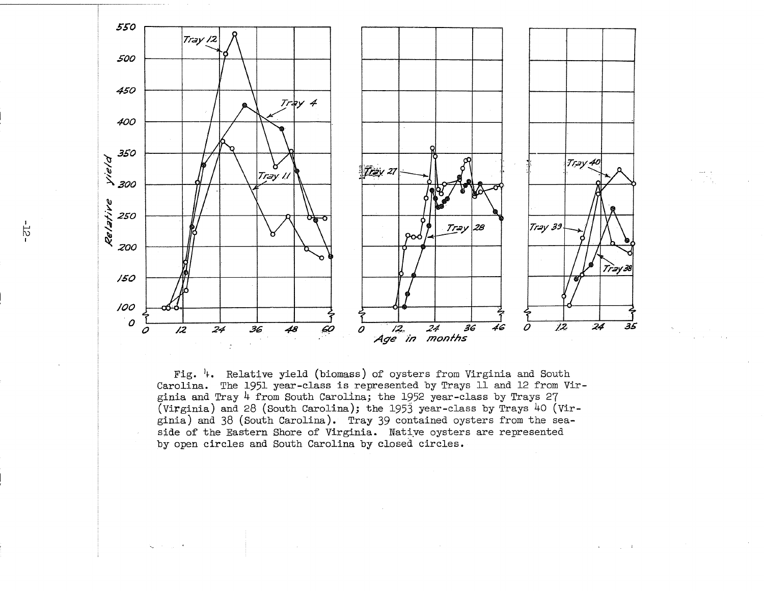

Fig.  $\frac{1}{4}$ . Relative yield (biomass) of oysters from Virginia and South Carolina. The 1951 year-class is represented by Trays 11 and 12 from Virginia and Tray 4 from South Carolina; the 1952 year-class by Trays 27 (Virginia) and 28 (South Carolina); the 1953 year-class by Trays 40 (Virginia) and 38 (South Carolina). Tray 39 contained oysters from the seaside of the Eastern Shore of Virginia. Native oysters are represented by open circles and South Carolina by closed circles.

 $\sim 10^{-14}$ 

 $-55-$ 

 $\zeta_{\mathbf{k}}$  , and  $\zeta_{\mathbf{k}}$  , and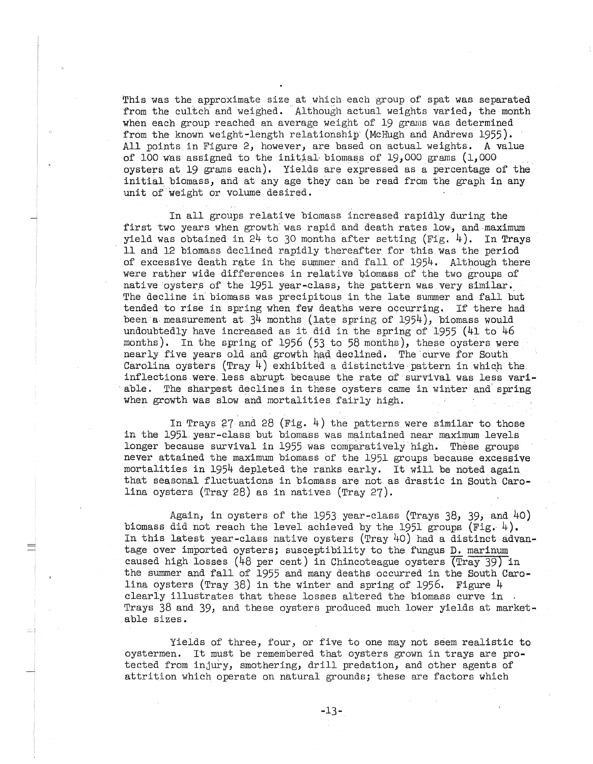This was the approximate size at which each group of spat was separated from the cultch and weighed. Although actual weights varied, the month when each group reached an average weight of 19 grams was determined from the known weight-length relationship' (McHugh and Andrews 1955). All points in Figure 2, however, are based on actual weights. A value of 100 was assigned to the initial biomass of 19,000 grams  $(1,000)$ oysters at 19 grams each). Yields are expressed as a percentage of the initial biomass, and at any age they can be read from the graph in any unit of weight or volume desired.

In all groups relative biomass increased rapidly during the first two years when growth was rapid and death rates low, and maximum yield was obtained in  $24$  to 30 months after setting (Fig. 4). In Trays 11 and 12 biomass declined rapidly thereafter for this was the period of excessive death rate in the summer and fall of 1954. Although there were rather wide differences in relative biomass of the two groups of native oysters of the 1951 year-class, the pattern was very similar. The decline in biomass was precipitous in the late summer and fall but tended to rise in spring when few deaths were occurring. If there had been a measurement at  $3^{\text{4}}$  months (late spring of 1954), biomass would undoubtedly have increased as it did in the spring of 1955 (41 to 46 months). In the spring of  $1956$  (53 to 58 months), these oysters were nearly five years old and growth had declined. The curve for South Carolina oysters (Tray  $4$ ) exhibited a distinctive pattern in which the. inflections were less abrupt because the rate of survival was less variable. The sharpest declines in these oysters came in winter and spring when growth was slow and mortalities fairly high,

In Trays 27 and 28 (Fig. 4) the patterns were similar to those in the 1951 year-class but biomass was maintained near maximum levels longer because survival in 1955 was comparatively high. These groups never attained the maximum biomass of the 1951 groups because excessive mortalities in 1954 depleted the ranks early. It will be noted again that seasonal fluctuations in biomass are not as drastic in South Carolina oysters (Tray 28) as in natives (Tray 27).

Again, in oysters of the 1953 year-class (Trays 38, 39, and 40) biomass did not reach the level achieved by the 1951 groups  $(Fig. 4)$ . In this latest year-class native oysters (Tray 40) had a distinct advantage over imported oysters; susceptibility to the fungus D, marinum caused high losses (48 per cent) in Chincoteague oysters (Tray 39) in the summer and fall of 1955 and many deaths occurred in the South Carolina oysters (Tray 38) in the winter and spring of 1956, Figure 4 clearly illustrates that these losses altered the biomass curve in . Trays 38 and 39, and these oysters produced much lower yields at marketable sizes.

Yields of three, four, or five to one may not seem realistic to oystermen. It must be remembered that oysters grown in trays are protected from injury, smothering, drill predation, and other agents of attrition which operate on natural grounds; these are factors which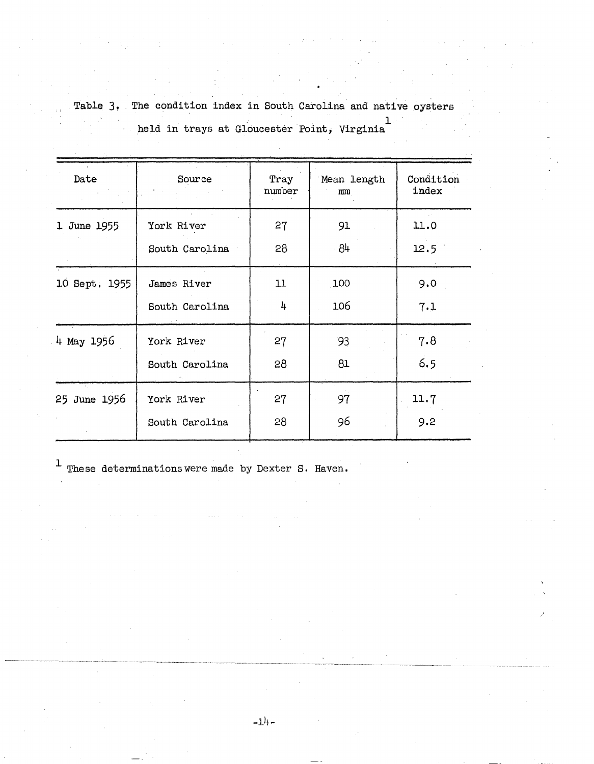Table 3. The condition index in South Carolina and native oysters held in trays at Gloucester Point, Virginia<sup>l</sup>

| Date          | Source         | Tray<br>number | Mean length<br>mm | Condition<br>index |
|---------------|----------------|----------------|-------------------|--------------------|
| 1 June 1955   | York River     | 27             | 91                | 11.0               |
|               | South Carolina | 28             | $-84$             | 12.5               |
| 10 Sept. 1955 | James River    | 11             | 100               | 9.0                |
|               | South Carolina | 4              | 106               | 7.1                |
| 4 May 1956    | York River     | 27             | 93                | 7.8                |
|               | South Carolina | 28             | 81                | 6.5                |
| 25 June 1956  | York River     | 27             | 97                | 11.7               |
|               | South Carolina | 28             | 96                | 9.2                |

 $\footnotesize\begin{subarray}{l} \texttt{1} \end{subarray}$  These determinations were made by Dexter S. Haven.

 $-1<sup>1</sup>$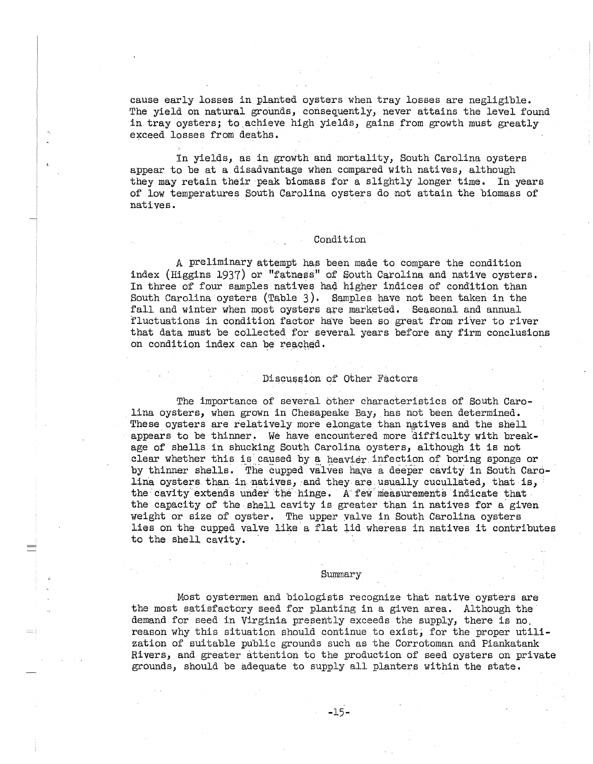cause early losses in planted oysters when tray losses are negligible, The yield on natural grounds, consequently, never attains the level found in tray oysters; to achieve high yields, gains from growth must greatly exceed losses from deaths.

In yields, as in growth and mortality, South Carolina oysters appear to be at a disadvantage when compared with natives, although they may retain their peak biomass for a slightly longer time. In years of low temperatures South Carolina oysters do not attain the biomass of natives.

## Condition

A preliminary attempt has been made to compare the condition index (Higgins 1937) or "fatness!' of South Carolina and native oysters. In three of four samples natives had higher indices of condition than South Carolina oysters (Table 3). Samples have not been taken in the fall and winter when most oysters are marketed. Seasonal and annual fluctuations in condition factor have been so great from river to river that data must be collected for several years before any firm conclusions on condition index can be reached.

#### Discussion of Other Factors

The importance of several other characteristics of South Carolina oysters, when grown in Chesapeake Bay, has not been determined. These oysters are relatively more elongate than natives and the shell appears to be thinner. We have encountered more difficulty with breakage of shells in shucking South Carolina oysters, although it is not clear whether this is caused by a heavier infection of boring sponge or by thinner shells. The cupped valves have a deeper cavity in South Carolina oysters than in natives, and they are usually cucullated, that is, the cavity extends under the hinge. A few measurements indicate that the capacity of the shell cavity is greater than in natives for a given weight or size of oyster. The upper valve in South Carolina oysters lies on the cupped valve like a flat lid whereas in natives it contributes to the shell cavity.

#### Summary

Most oystermen and biologists recognize that native oysters are the most satisfactory seed for planting in a given area. Although the demand for seed in Virginia presently exceeds the supply, there is no. reason why this situation should continue to exist; for the proper utilization of suitable public grounds such as the Corrotoman and Piankatank Rivers, and greater attention to the production *bf* seed oysters on private grounds, should be adequate to supply all planters within the state.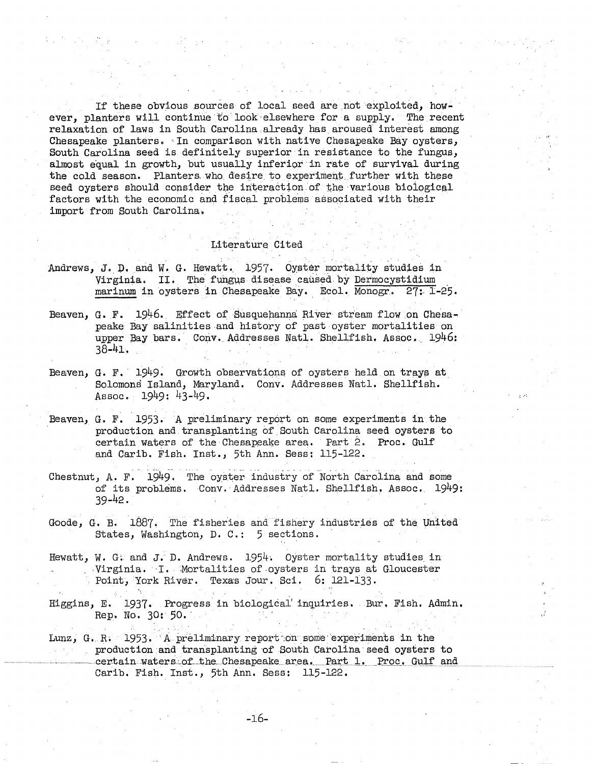If these obvious sources of local seed are not exploited, however, planters will continue to look elsewhere for a supply. The recent relaxation of laws in South Carolina already has aroused interest among Chesapeake planters. In comparison with native Chesapeake Bay oysters, South Carolina seed is definitely superior in resistance to the fungus. almost equal in growth, but usually inferior in rate of survival during the cold season. Planters who desire to experiment further with these seed ovsters should consider the interaction of the various biological factors with the economic and fiscal problems associated with their import from South Carolina.

#### Literature Cited

- Andrews, J. D. and W. G. Hewatt. 1957. Oyster mortality studies in Virginia. II. The fungus disease caused by Dermocystidium marinum in oysters in Chesapeake Bay. Ecol. Monogr. 27: 1-25.
- Beaven, G. F. 1946. Effect of Susquehanna River stream flow on Chesapeake Bay salinities and history of past oyster mortalities on upper Bay bars. Conv. Addresses Natl. Shellfish. Assoc. 1946:  $38 - 41$ .
- Beaven, G. F. 1949. Growth observations of oysters held on trays at Solomons Island, Maryland. Conv. Addresses Natl. Shellfish. Assoc. 1949: 43-49.
- Beaven, G. F. 1953. A preliminary report on some experiments in the production and transplanting of South Carolina seed oysters to certain waters of the Chesapeake area. Part 2. Proc. Gulf and Carib. Fish. Inst., 5th Ann. Sess: 115-122.
- Chestnut, A. F. 1949. The oyster industry of North Carolina and some of its problems. Conv. Addresses Natl. Shellfish. Assoc. 1949:  $39 - 42.$
- Goode, G. B. 1887. The fisheries and fishery industries of the United States, Washington, D. C.: 5 sections.
- Hewatt, W. G. and J. D. Andrews.  $1954$ . Oyster mortality studies in Virginia. I. Mortalities of oysters in trays at Gloucester Point, York River. Texas Jour. Sci. 6: 121-133.
- Higgins, E. 1937. Progress in biological inquiries. Bur. Fish. Admin. Rep. No. 30: 50.
- Lunz, G. R. 1953. A preliminary report on some experiments in the production and transplanting of South Carolina seed oysters to certain waters of the Chesapeake area. Part 1. Proc. Gulf and Carib. Fish. Inst., 5th Ann. Sess: 115-122.